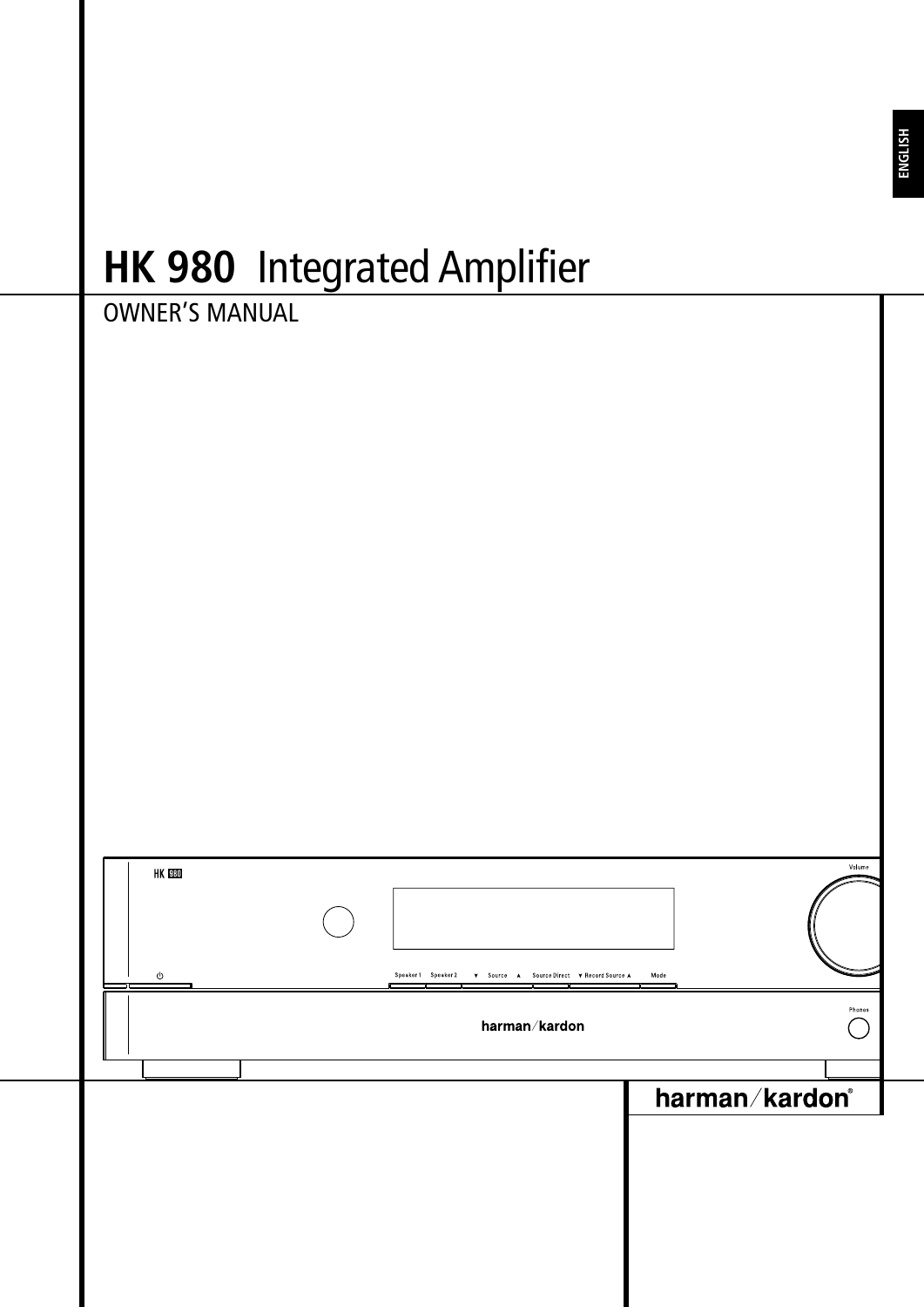# **HK 980** Integrated Amplifier

|                        | THE 200 THRYRICA MIRINICI                                       |                |
|------------------------|-----------------------------------------------------------------|----------------|
| <b>OWNER'S MANUAL</b>  |                                                                 |                |
|                        |                                                                 |                |
|                        |                                                                 |                |
|                        |                                                                 |                |
|                        |                                                                 |                |
|                        |                                                                 |                |
|                        |                                                                 |                |
|                        |                                                                 |                |
|                        |                                                                 |                |
|                        |                                                                 |                |
|                        |                                                                 |                |
|                        |                                                                 |                |
|                        |                                                                 |                |
|                        |                                                                 |                |
|                        |                                                                 |                |
|                        |                                                                 |                |
| ${\tt HK}$ ${\tt B80}$ |                                                                 | Volume         |
|                        |                                                                 |                |
|                        |                                                                 |                |
| L.<br>O<br>H           | Speaker1 Speaker2<br>V Source A Source Direct V Record Source A | Mode           |
|                        | harman/kardon                                                   | Phones         |
|                        |                                                                 |                |
|                        |                                                                 |                |
|                        |                                                                 |                |
|                        |                                                                 | harman/kardon® |
|                        |                                                                 |                |
|                        |                                                                 |                |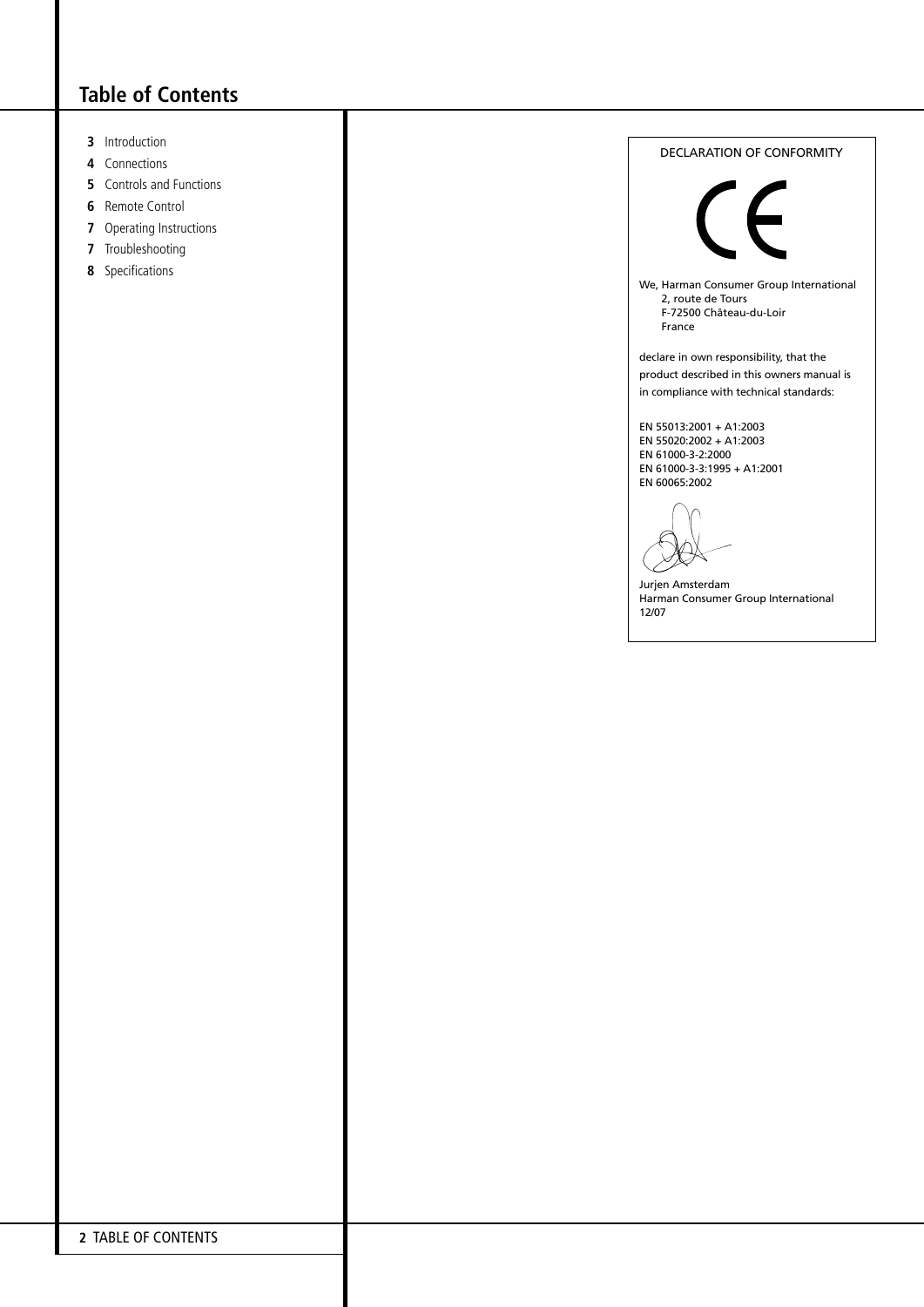# **Table of Contents**

- **3** Introduction
- **4** Connections
- **5** Controls and Functions
- **6** Remote Control
- **7** Operating Instructions
- **7** Troubleshooting
- **8** Specifications



Jurjen Amsterdam Harman Consumer Group International 12/07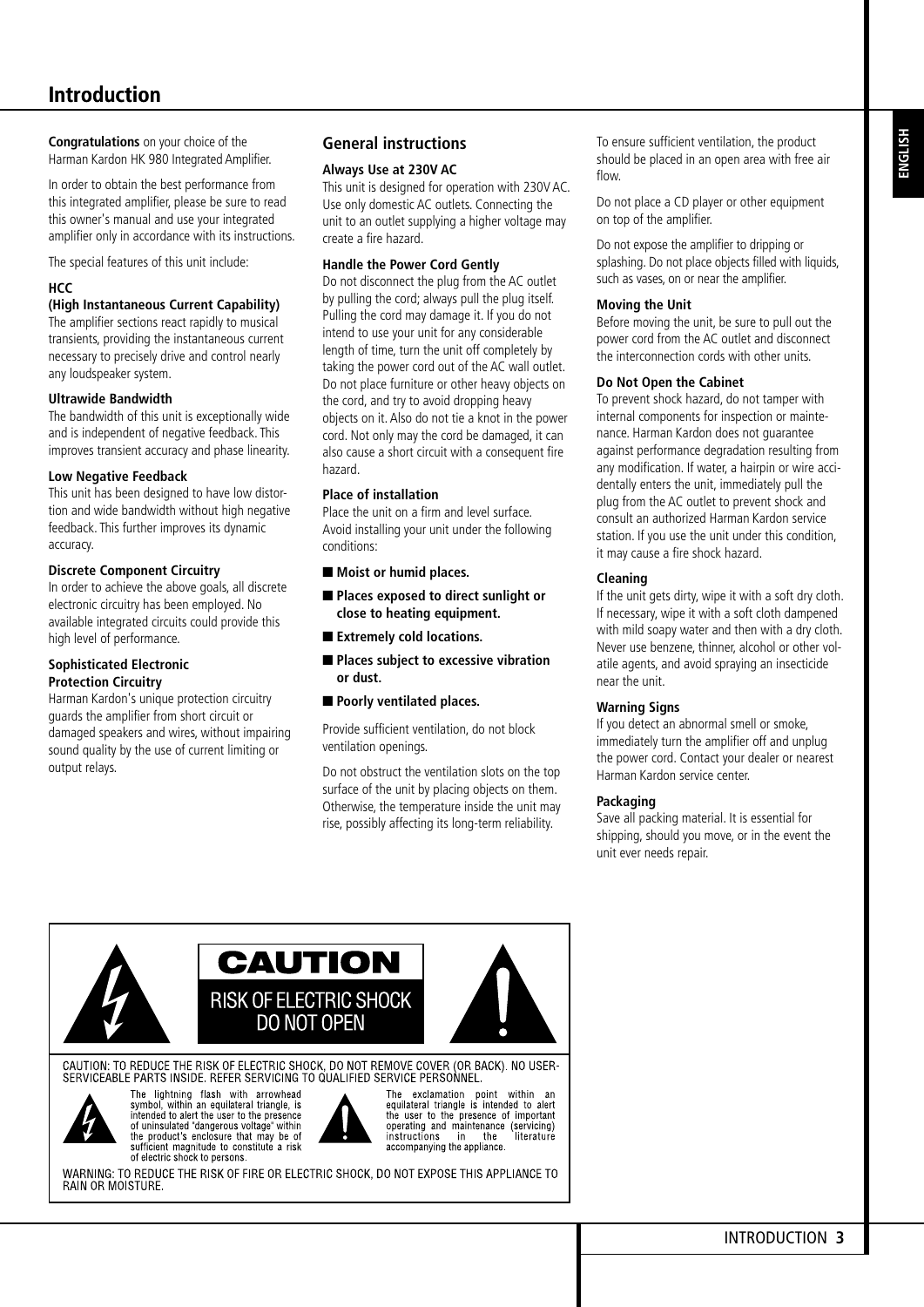**Congratulations** on your choice of the Harman Kardon HK 980 Integrated Amplifier.

In order to obtain the best performance from this integrated amplifier, please be sure to read this owner's manual and use your integrated amplifier only in accordance with its instructions.

The special features of this unit include:

#### **HCC**

#### **(High Instantaneous Current Capability)**

The amplifier sections react rapidly to musical transients, providing the instantaneous current necessary to precisely drive and control nearly any loudspeaker system.

#### **Ultrawide Bandwidth**

The bandwidth of this unit is exceptionally wide and is independent of negative feedback. This improves transient accuracy and phase linearity.

#### **Low Negative Feedback**

This unit has been designed to have low distortion and wide bandwidth without high negative feedback. This further improves its dynamic accuracy.

#### **Discrete Component Circuitry**

In order to achieve the above goals, all discrete electronic circuitry has been employed. No available integrated circuits could provide this high level of performance.

#### **Sophisticated Electronic Protection Circuitry**

 Harman Kardon's unique protection circuitry guards the amplifier from short circuit or damaged speakers and wires, without impairing sound quality by the use of current limiting or output relays.

### **General instructions**

#### **Always Use at 230V AC**

This unit is designed for operation with 230V AC. Use only domestic AC outlets. Connecting the unit to an outlet supplying a higher voltage may create a fire hazard.

#### **Handle the Power Cord Gently**

Do not disconnect the plug from the AC outlet by pulling the cord; always pull the plug itself. Pulling the cord may damage it. If you do not intend to use your unit for any considerable length of time, turn the unit off completely by taking the power cord out of the AC wall outlet. Do not place furniture or other heavy objects on the cord, and try to avoid dropping heavy objects on it. Also do not tie a knot in the power cord. Not only may the cord be damaged, it can also cause a short circuit with a consequent fire hazard.

#### **Place of installation**

Place the unit on a firm and level surface. Avoid installing your unit under the following conditions:

- Moist or humid places.
- Places exposed to direct sunlight or **close to heating equipment.**
- Extremely cold locations.
- Places subject to excessive vibration **or dust.**
- Poorly ventilated places.

Provide sufficient ventilation, do not block ventilation openings.

Do not obstruct the ventilation slots on the top surface of the unit by placing objects on them. Otherwise, the temperature inside the unit may rise, possibly affecting its long-term reliability.

To ensure sufficient ventilation, the product should be placed in an open area with free air flow.

Do not place a CD player or other equipment on top of the amplifier.

Do not expose the amplifier to dripping or splashing. Do not place objects filled with liquids, such as vases, on or near the amplifier.

#### **Moving the Unit**

Before moving the unit, be sure to pull out the power cord from the AC outlet and disconnect the interconnection cords with other units.

#### **Do Not Open the Cabinet**

To prevent shock hazard, do not tamper with internal components for inspection or maintenance. Harman Kardon does not guarantee against performance degradation resulting from any modification. If water, a hairpin or wire accidentally enters the unit, immediately pull the plug from the AC outlet to prevent shock and consult an authorized Harman Kardon service station. If you use the unit under this condition, it may cause a fire shock hazard.

#### **Cleaning**

If the unit gets dirty, wipe it with a soft dry cloth. If necessary, wipe it with a soft cloth dampened with mild soapy water and then with a dry cloth. Never use benzene, thinner, alcohol or other volatile agents, and avoid spraying an insecticide near the unit.

#### **Warning Signs**

If you detect an abnormal smell or smoke, immediately turn the amplifier off and unplug the power cord. Contact your dealer or nearest Harman Kardon service center.

#### **Packaging**

Save all packing material. It is essential for shipping, should you move, or in the event the unit ever needs repair.



**CAUTION** 



The lightning flash with arrowhead<br>symbol, within an equilateral triangle, is<br>intended to alert the user to the presence<br>of uninsulated "dangerous voltage" within<br>the product's enclosure that may be of<br>sufficient magnitude of electric shock to persons

The exclamation point within an<br>equilateral triangle is intended to alert<br>the user to the presence of important operating and maintenance (servicing)<br>instructions in the literature<br>accompanying the appliance.

WARNING: TO REDUCE THE RISK OF FIRE OR ELECTRIC SHOCK, DO NOT EXPOSE THIS APPLIANCE TO RAIN OR MOISTURE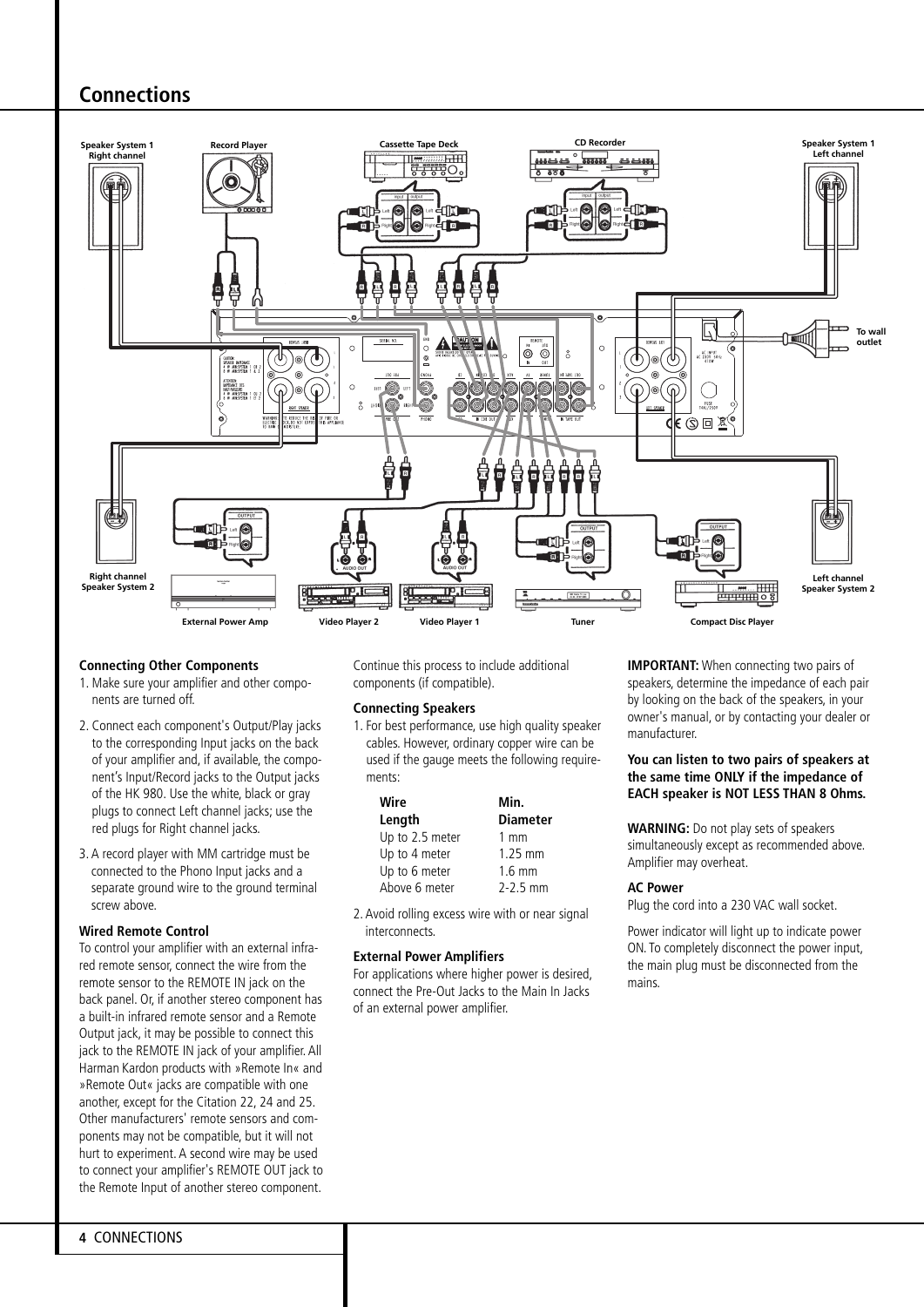## **Connections**



#### **Connecting Other Components**

- 1. Make sure your amplifier and other components are turned off.
- 2. Connect each component's Output/Play jacks to the corresponding Input jacks on the back of your amplifier and, if available, the component's Input/Record jacks to the Output jacks of the HK 980. Use the white, black or gray plugs to connect Left channel jacks; use the red plugs for Right channel jacks.
- 3. A record player with MM cartridge must be connected to the Phono Input jacks and a separate ground wire to the ground terminal screw above.

#### **Wired Remote Control**

To control your amplifier with an external infrared remote sensor, connect the wire from the remote sensor to the REMOTE IN jack on the back panel. Or, if another stereo component has a built-in infrared remote sensor and a Remote Output jack, it may be possible to connect this jack to the REMOTE IN jack of your amplifier. All Harman Kardon products with »Remote In« and »Remote Out« jacks are compatible with one another, except for the Citation 22, 24 and 25. Other manufacturers' remote sensors and components may not be compatible, but it will not hurt to experiment. A second wire may be used to connect your amplifier's REMOTE OUT jack to the Remote Input of another stereo component.

Continue this process to include additional components (if compatible).

#### **Connecting Speakers**

1. For best performance, use high quality speaker cables. However, ordinary copper wire can be used if the gauge meets the following requirements:

| Wire            | Min.             |  |
|-----------------|------------------|--|
| Length          | <b>Diameter</b>  |  |
| Up to 2.5 meter | $1 \text{ mm}$   |  |
| Up to 4 meter   | $1.25$ mm        |  |
| Up to 6 meter   | $1.6 \text{ mm}$ |  |
| Above 6 meter   | $2 - 2.5$ mm     |  |

2. Avoid rolling excess wire with or near signal **interconnects** 

#### **External Power Amplifiers**

For applications where higher power is desired, connect the Pre-Out Jacks to the Main In Jacks of an external power amplifier.

**IMPORTANT:** When connecting two pairs of speakers, determine the impedance of each pair by looking on the back of the speakers, in your owner's manual, or by contacting your dealer or manufacturer.

#### **You can listen to two pairs of speakers at the same time ONLY if the impedance of EACH speaker is NOT LESS THAN 8 Ohms.**

**WARNING:** Do not play sets of speakers simultaneously except as recommended above. Amplifier may overheat.

#### **AC Power**

Plug the cord into a 230 VAC wall socket.

Power indicator will light up to indicate power ON. To completely disconnect the power input, the main plug must be disconnected from the mains.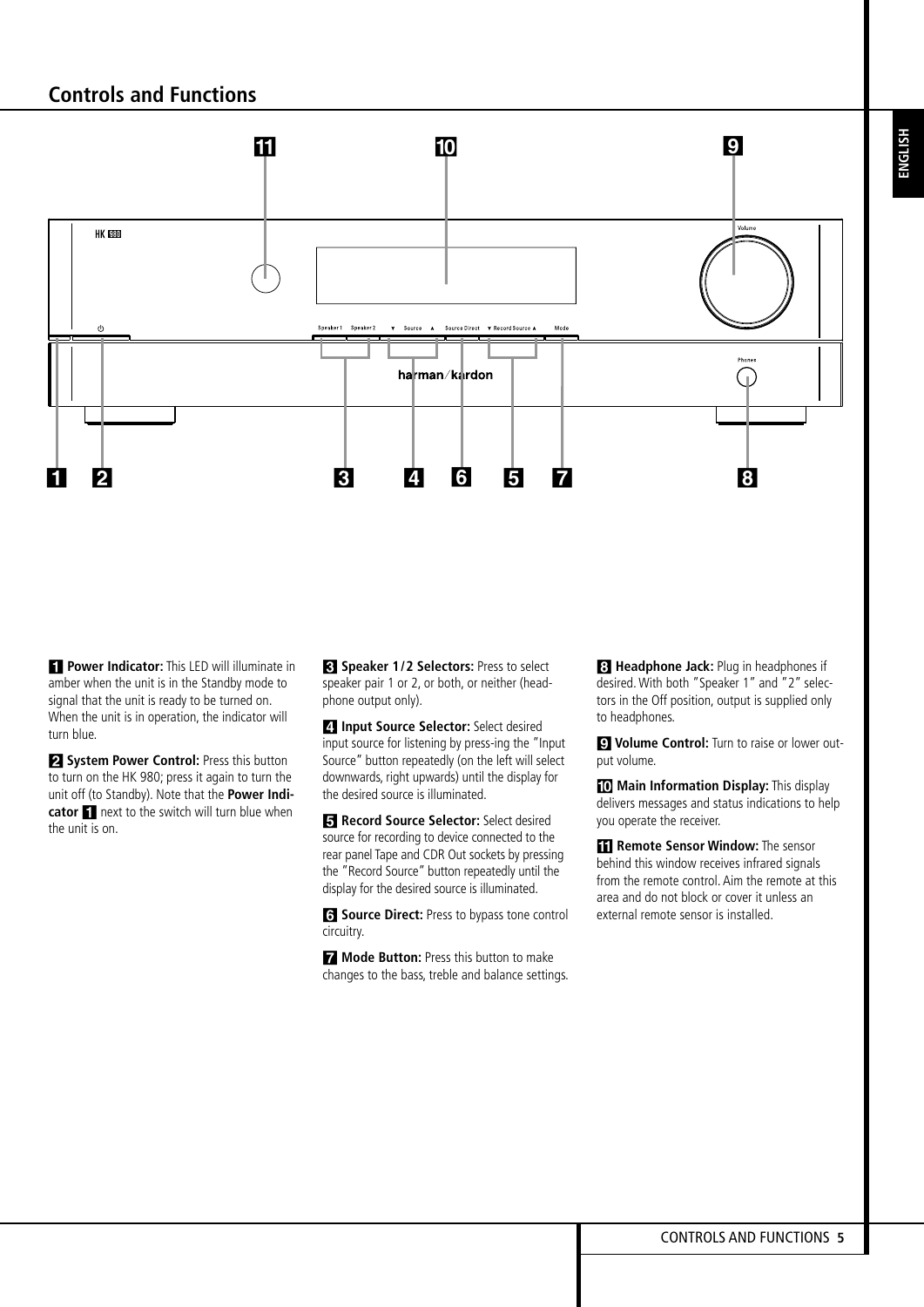

**1 Power Indicator:** This LED will illuminate in amber when the unit is in the Standby mode to signal that the unit is ready to be turned on. When the unit is in operation, the indicator will turn blue.

**2 System Power Control:** Press this button to turn on the HK 980; press it again to turn the unit off (to Standby). Note that the **Power Indicator** 1 next to the switch will turn blue when the unit is on.

**3** Speaker 1/2 Selectors: Press to select speaker pair 1 or 2, or both, or neither (headphone output only).

**4** Input Source Selector: Select desired input source for listening by press-ing the "Input Source" button repeatedly (on the left will select downwards, right upwards) until the display for the desired source is illuminated.

**5** Record Source Selector: Select desired source for recording to device connected to the rear panel Tape and CDR Out sockets by pressing the "Record Source" button repeatedly until the display for the desired source is illuminated.

**6** Source Direct: Press to bypass tone control circuitry.

7 **Mode Button:** Press this button to make changes to the bass, treble and balance settings.

**8** Headphone Jack: Plug in headphones if desired. With both "Speaker 1" and "2" selectors in the Off position, output is supplied only to headphones.

**9** Volume Control: Turn to raise or lower output volume.

**<sup>1</sup>0 Main Information Display:** This display delivers messages and status indications to help you operate the receiver.

**11 Remote Sensor Window:** The sensor behind this window receives infrared signals from the remote control. Aim the remote at this area and do not block or cover it unless an external remote sensor is installed.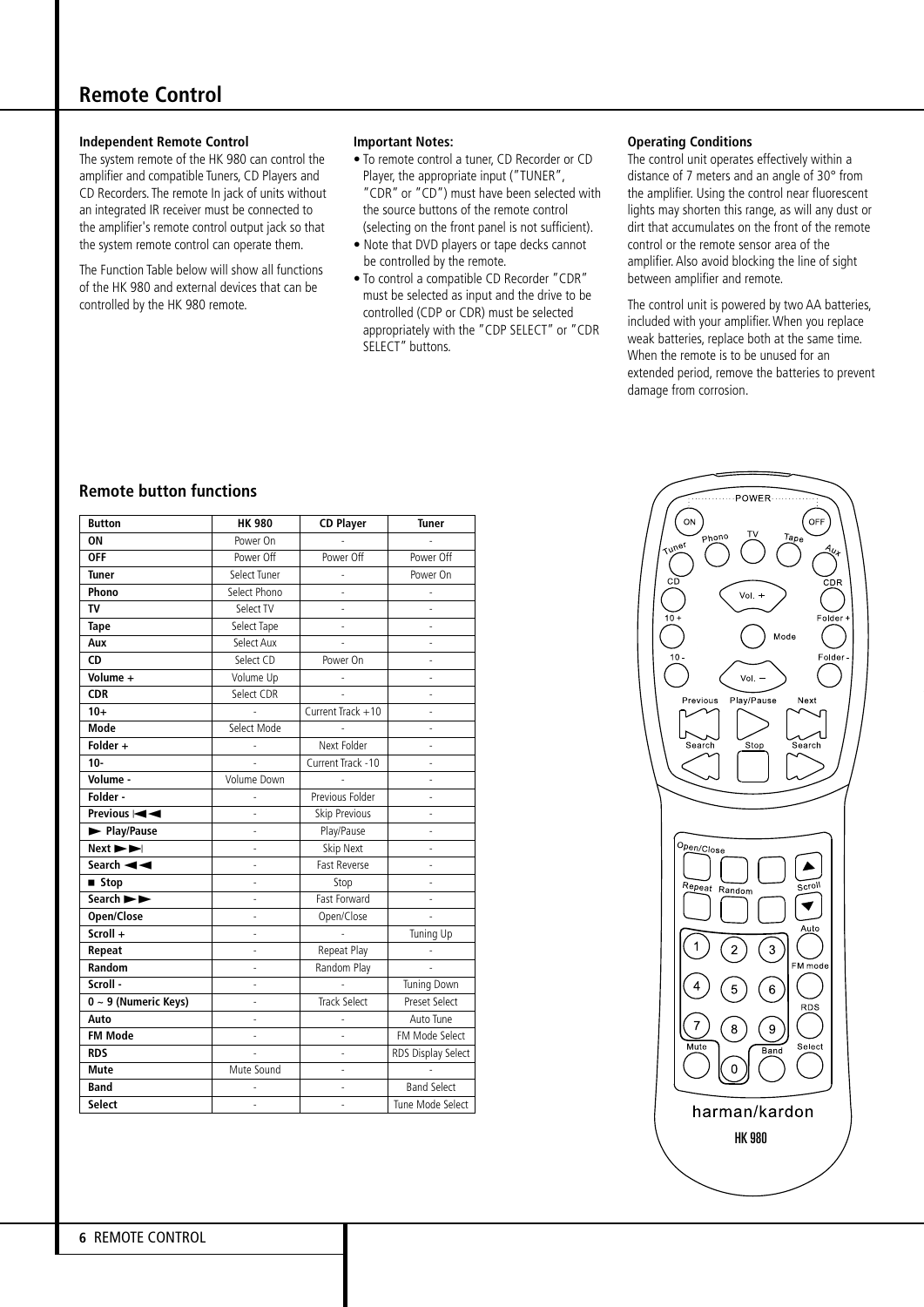### **Remote Control**

#### **Independent Remote Control**

The system remote of the HK 980 can control the amplifier and compatible Tuners, CD Players and CD Recorders. The remote In jack of units without an integrated IR receiver must be connected to the amplifier's remote control output jack so that the system remote control can operate them.

The Function Table below will show all functions of the HK 980 and external devices that can be controlled by the HK 980 remote.

#### **Important Notes:**

- To remote control a tuner, CD Recorder or CD Player, the appropriate input ("TUNER", "CDR" or "CD") must have been selected with the source buttons of the remote control (selecting on the front panel is not sufficient).
- Note that DVD players or tape decks cannot be controlled by the remote.
- To control a compatible CD Recorder "CDR" must be selected as input and the drive to be controlled (CDP or CDR) must be selected appropriately with the "CDP SELECT" or "CDR SELECT" buttons.

#### **Operating Conditions**

The control unit operates effectively within a distance of 7 meters and an angle of 30° from the amplifier. Using the control near fluorescent lights may shorten this range, as will any dust or dirt that accumulates on the front of the remote control or the remote sensor area of the amplifier. Also avoid blocking the line of sight between amplifier and remote.

The control unit is powered by two AA batteries, included with your amplifier. When you replace weak batteries, replace both at the same time. When the remote is to be unused for an extended period, remove the batteries to prevent damage from corrosion.

### **Remote button functions**

| <b>Button</b>                 | <b>HK 980</b>  | <b>CD Player</b>    | <b>Tuner</b>       |
|-------------------------------|----------------|---------------------|--------------------|
| ON                            | Power On       |                     |                    |
| <b>OFF</b>                    | Power Off      | Power Off           | Power Off          |
| <b>Tuner</b>                  | Select Tuner   |                     | Power On           |
| Phono                         | Select Phono   |                     |                    |
| TV                            | Select TV      |                     |                    |
| <b>Tape</b>                   | Select Tape    |                     |                    |
| Aux                           | Select Aux     |                     |                    |
| CD                            | Select CD      | Power On            |                    |
| Volume +                      | Volume Up      |                     | $\overline{a}$     |
| <b>CDR</b>                    | Select CDR     |                     |                    |
| $10+$                         | $\overline{a}$ | Current Track +10   | $\overline{a}$     |
| Mode                          | Select Mode    |                     |                    |
| Folder +                      |                | Next Folder         |                    |
| $10-$                         |                | Current Track -10   |                    |
| Volume -                      | Volume Down    |                     |                    |
| Folder -                      |                | Previous Folder     |                    |
| Previous $\blacktriangleleft$ | $\overline{a}$ | Skip Previous       |                    |
| Play/Pause                    |                | Play/Pause          |                    |
| Next <b>&gt;</b>              | $\overline{a}$ | Skip Next           | $\overline{a}$     |
| Search $\blacktriangleleft$   |                | Fast Reverse        |                    |
| ■ Stop                        |                | Stop                |                    |
| Search $\blacktriangleright$  |                | Fast Forward        |                    |
| Open/Close                    |                | Open/Close          |                    |
| Scroll +                      | $\overline{a}$ |                     | Tuning Up          |
| Repeat                        | $\overline{a}$ | Repeat Play         |                    |
| Random                        | $\overline{a}$ | Random Play         |                    |
| Scroll -                      | $\overline{a}$ |                     | <b>Tuning Down</b> |
| 0 ~ 9 (Numeric Keys)          | $\overline{a}$ | <b>Track Select</b> | Preset Select      |
| Auto                          |                |                     | Auto Tune          |
| <b>FM Mode</b>                |                |                     | FM Mode Select     |
| <b>RDS</b>                    |                | $\overline{a}$      | RDS Display Select |
| <b>Mute</b>                   | Mute Sound     |                     |                    |
| <b>Band</b>                   |                | $\overline{a}$      | <b>Band Select</b> |
| <b>Select</b>                 | $\overline{a}$ | $\overline{a}$      | Tune Mode Select   |

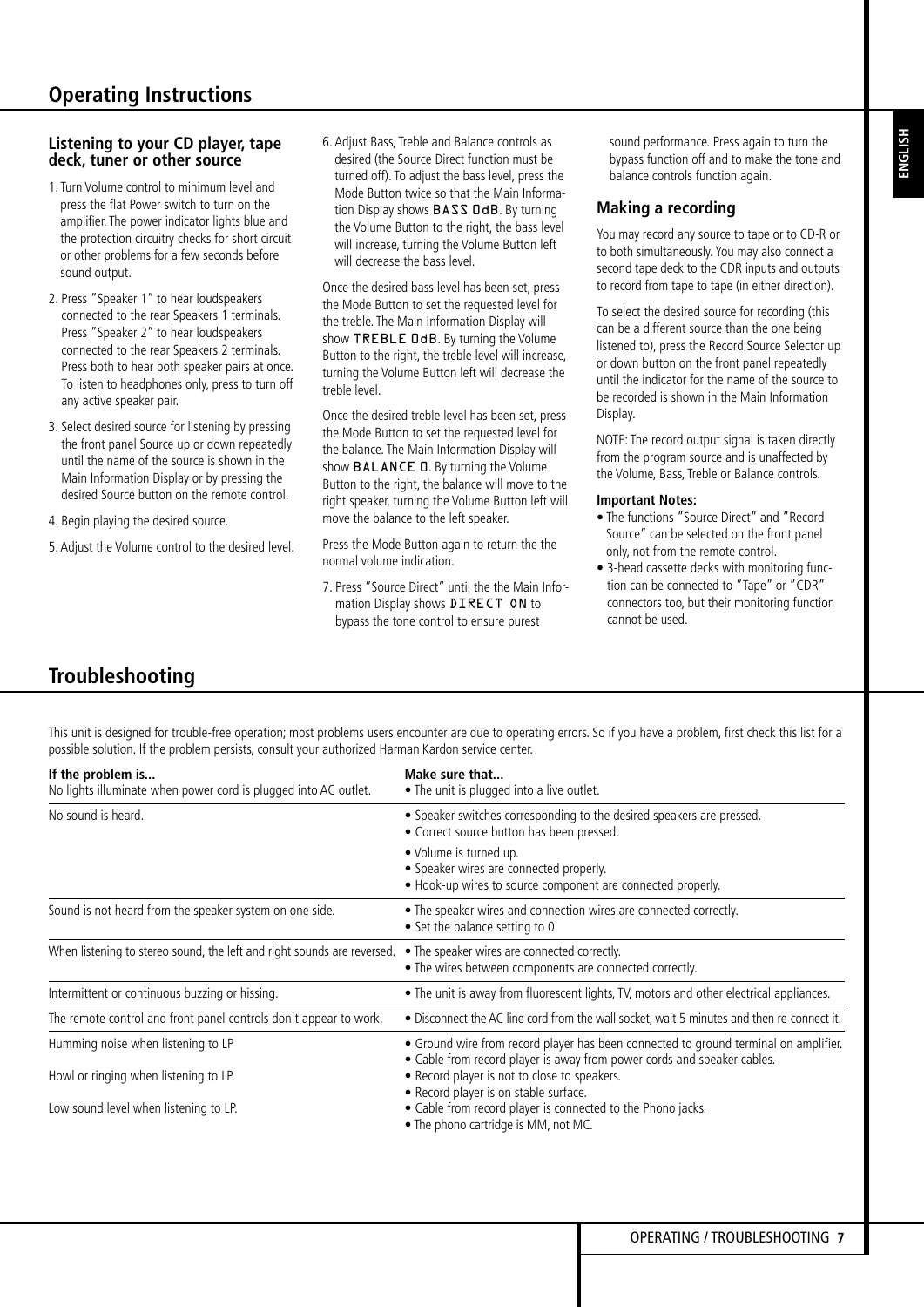**ENGLISH**

### **Listening to your CD player, tape deck, tuner or other source**

- 1. Turn Volume control to minimum level and press the flat Power switch to turn on the amplifier. The power indicator lights blue and the protection circuitry checks for short circuit or other problems for a few seconds before sound output.
- 2. Press "Speaker 1" to hear loudspeakers connected to the rear Speakers 1 terminals. Press "Speaker 2" to hear loudspeakers connected to the rear Speakers 2 terminals. Press both to hear both speaker pairs at once. To listen to headphones only, press to turn off any active speaker pair.
- 3. Select desired source for listening by pressing the front panel Source up or down repeatedly until the name of the source is shown in the Main Information Display or by pressing the desired Source button on the remote control.
- 4. Begin playing the desired source.
- 5. Adjust the Volume control to the desired level.

6. Adjust Bass, Treble and Balance controls as desired (the Source Direct function must be turned off). To adjust the bass level, press the Mode Button twice so that the Main Information Display shows **BASS DdB**. By turning the Volume Button to the right, the bass level will increase, turning the Volume Button left will decrease the bass level.

Once the desired bass level has been set, press the Mode Button to set the requested level for the treble. The Main Information Display will show TREBLE DdB. By turning the Volume Button to the right, the treble level will increase, turning the Volume Button left will decrease the treble level.

Once the desired treble level has been set, press the Mode Button to set the requested level for the balance. The Main Information Display will show BALANCE **D**. By turning the Volume Button to the right, the balance will move to the right speaker, turning the Volume Button left will move the balance to the left speaker.

Press the Mode Button again to return the the normal volume indication.

7. Press "Source Direct" until the the Main Information Display shows DIRECT ON to bypass the tone control to ensure purest

sound performance. Press again to turn the bypass function off and to make the tone and balance controls function again.

### **Making a recording**

You may record any source to tape or to CD-R or to both simultaneously. You may also connect a second tape deck to the CDR inputs and outputs to record from tape to tape (in either direction).

To select the desired source for recording (this can be a different source than the one being listened to), press the Record Source Selector up or down button on the front panel repeatedly until the indicator for the name of the source to be recorded is shown in the Main Information Display.

NOTE: The record output signal is taken directly from the program source and is unaffected by the Volume, Bass, Treble or Balance controls.

### **Important Notes:**

- The functions "Source Direct" and "Record Source" can be selected on the front panel only, not from the remote control.
- 3-head cassette decks with monitoring function can be connected to "Tape" or "CDR" connectors too, but their monitoring function cannot be used.

# **Troubleshooting**

This unit is designed for trouble-free operation; most problems users encounter are due to operating errors. So if you have a problem, first check this list for a possible solution. If the problem persists, consult your authorized Harman Kardon service center.

| If the problem is<br>No lights illuminate when power cord is plugged into AC outlet. | Make sure that<br>• The unit is plugged into a live outlet.                                                                                                                                                                                                                                                                                                     |  |  |
|--------------------------------------------------------------------------------------|-----------------------------------------------------------------------------------------------------------------------------------------------------------------------------------------------------------------------------------------------------------------------------------------------------------------------------------------------------------------|--|--|
| No sound is heard.                                                                   | • Speaker switches corresponding to the desired speakers are pressed.<br>• Correct source button has been pressed.                                                                                                                                                                                                                                              |  |  |
|                                                                                      | • Volume is turned up.<br>• Speaker wires are connected properly.<br>• Hook-up wires to source component are connected properly.                                                                                                                                                                                                                                |  |  |
| Sound is not heard from the speaker system on one side.                              | • The speaker wires and connection wires are connected correctly.<br>• Set the balance setting to 0                                                                                                                                                                                                                                                             |  |  |
| When listening to stereo sound, the left and right sounds are reversed.              | • The speaker wires are connected correctly.<br>• The wires between components are connected correctly.                                                                                                                                                                                                                                                         |  |  |
| Intermittent or continuous buzzing or hissing.                                       | • The unit is away from fluorescent lights, TV, motors and other electrical appliances.                                                                                                                                                                                                                                                                         |  |  |
| The remote control and front panel controls don't appear to work.                    | • Disconnect the AC line cord from the wall socket, wait 5 minutes and then re-connect it.                                                                                                                                                                                                                                                                      |  |  |
| Humming noise when listening to LP                                                   | • Ground wire from record player has been connected to ground terminal on amplifier.<br>• Cable from record player is away from power cords and speaker cables.<br>. Record player is not to close to speakers.<br>• Record player is on stable surface.<br>• Cable from record player is connected to the Phono jacks.<br>. The phono cartridge is MM, not MC. |  |  |
| Howl or ringing when listening to LP.                                                |                                                                                                                                                                                                                                                                                                                                                                 |  |  |
| Low sound level when listening to LP.                                                |                                                                                                                                                                                                                                                                                                                                                                 |  |  |